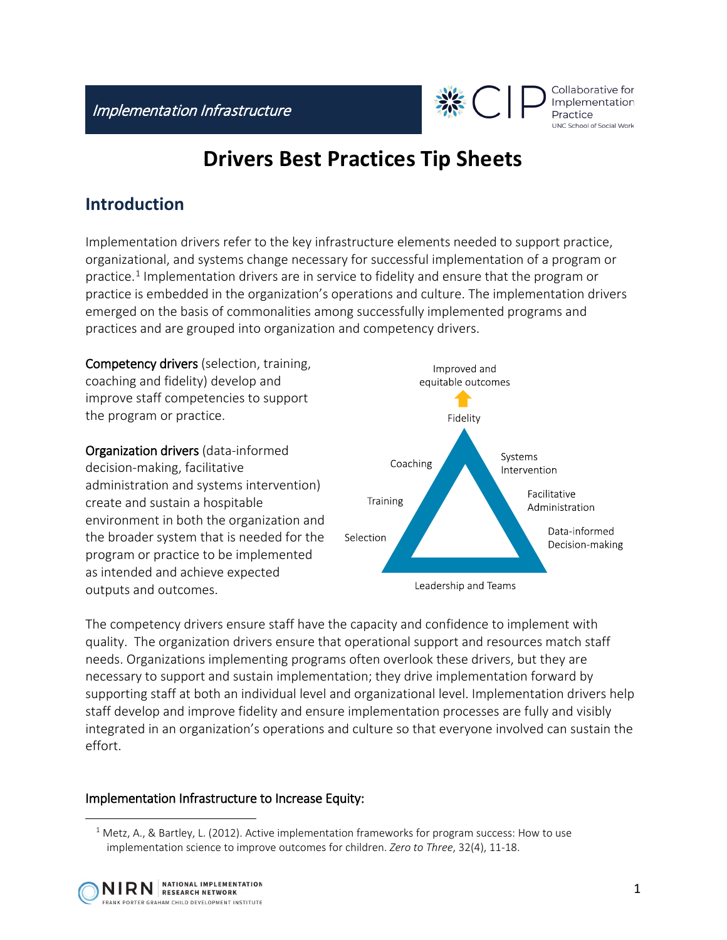

# **Drivers Best Practices Tip Sheets**

#### **Introduction**

Implementation drivers refer to the key infrastructure elements needed to support practice, organizational, and systems change necessary for successful implementation of a program or practice.<sup>[1](#page-0-0)</sup> Implementation drivers are in service to fidelity and ensure that the program or practice is embedded in the organization's operations and culture. The implementation drivers emerged on the basis of commonalities among successfully implemented programs and practices and are grouped into organization and competency drivers.

Competency drivers (selection, training, coaching and fidelity) develop and improve staff competencies to support the program or practice.

Organization drivers (data-informed decision-making, facilitative administration and systems intervention) create and sustain a hospitable environment in both the organization and the broader system that is needed for the program or practice to be implemented as intended and achieve expected outputs and outcomes.



The competency drivers ensure staff have the capacity and confidence to implement with quality. The organization drivers ensure that operational support and resources match staff needs. Organizations implementing programs often overlook these drivers, but they are necessary to support and sustain implementation; they drive implementation forward by supporting staff at both an individual level and organizational level. Implementation drivers help staff develop and improve fidelity and ensure implementation processes are fully and visibly integrated in an organization's operations and culture so that everyone involved can sustain the effort.

#### Implementation Infrastructure to Increase Equity:

<span id="page-0-0"></span> $1$  Metz, A., & Bartley, L. (2012). Active implementation frameworks for program success: How to use implementation science to improve outcomes for children. *Zero to Three*, 32(4), 11-18.



 $\overline{a}$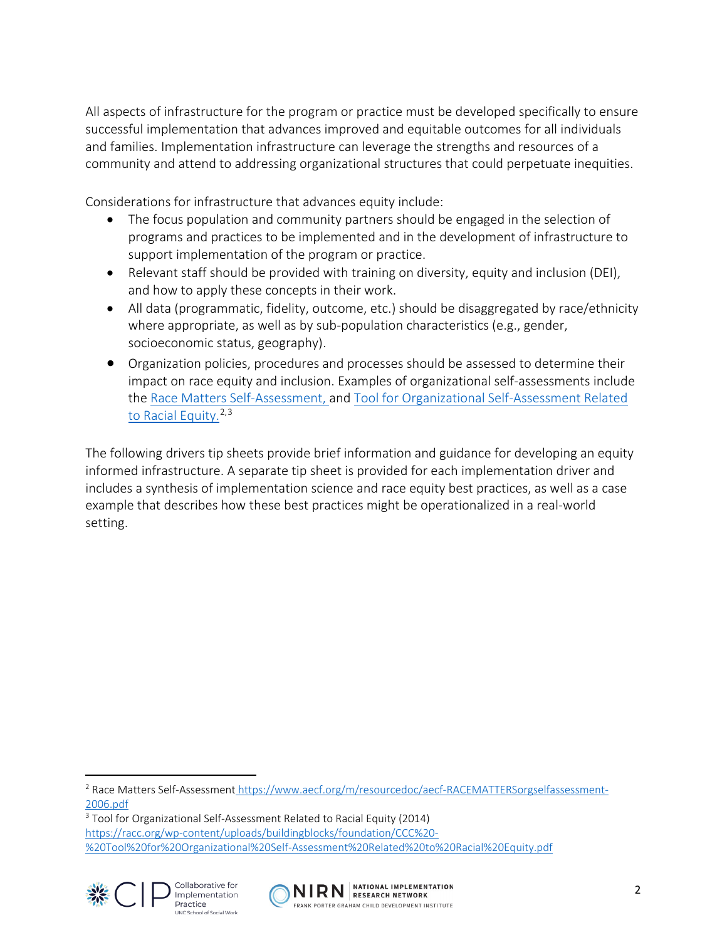All aspects of infrastructure for the program or practice must be developed specifically to ensure successful implementation that advances improved and equitable outcomes for all individuals and families. Implementation infrastructure can leverage the strengths and resources of a community and attend to addressing organizational structures that could perpetuate inequities.

Considerations for infrastructure that advances equity include:

- The focus population and community partners should be engaged in the selection of programs and practices to be implemented and in the development of infrastructure to support implementation of the program or practice.
- Relevant staff should be provided with training on diversity, equity and inclusion (DEI), and how to apply these concepts in their work.
- All data (programmatic, fidelity, outcome, etc.) should be disaggregated by race/ethnicity where appropriate, as well as by sub-population characteristics (e.g., gender, socioeconomic status, geography).
- Organization policies, procedures and processes should be assessed to determine their impact on race equity and inclusion. Examples of organizational self-assessments include the [Race Matters Self-Assessment,](https://www.aecf.org/m/resourcedoc/aecf-RACEMATTERSorgselfassessment-2006.pdf) and [Tool for Organizational Self-Assessment Related](https://racc.org/wp-content/uploads/buildingblocks/foundation/CCC%20-%20Tool%20for%20Organizational%20Self-Assessment%20Related%20to%20Racial%20Equity.pdf)  [to Racial Equity.](https://racc.org/wp-content/uploads/buildingblocks/foundation/CCC%20-%20Tool%20for%20Organizational%20Self-Assessment%20Related%20to%20Racial%20Equity.pdf)<sup>[2](#page-1-0),[3](#page-1-1)</sup>

The following drivers tip sheets provide brief information and guidance for developing an equity informed infrastructure. A separate tip sheet is provided for each implementation driver and includes a synthesis of implementation science and race equity best practices, as well as a case example that describes how these best practices might be operationalized in a real-world setting.

<span id="page-1-0"></span> $\overline{a}$ <sup>2</sup> Race Matters Self-Assessment [https://www.aecf.org/m/resourcedoc/aecf-RACEMATTERSorgselfassessment-](https://www.aecf.org/m/resourcedoc/aecf-RACEMATTERSorgselfassessment-2006.pdf)[2006.pdf](https://www.aecf.org/m/resourcedoc/aecf-RACEMATTERSorgselfassessment-2006.pdf)

<span id="page-1-1"></span><sup>3</sup> Tool for Organizational Self-Assessment Related to Racial Equity (2014) [https://racc.org/wp-content/uploads/buildingblocks/foundation/CCC%20-](https://racc.org/wp-content/uploads/buildingblocks/foundation/CCC%20-%20Tool%20for%20Organizational%20Self-Assessment%20Related%20to%20Racial%20Equity.pdf) [%20Tool%20for%20Organizational%20Self-Assessment%20Related%20to%20Racial%20Equity.pdf](https://racc.org/wp-content/uploads/buildingblocks/foundation/CCC%20-%20Tool%20for%20Organizational%20Self-Assessment%20Related%20to%20Racial%20Equity.pdf)





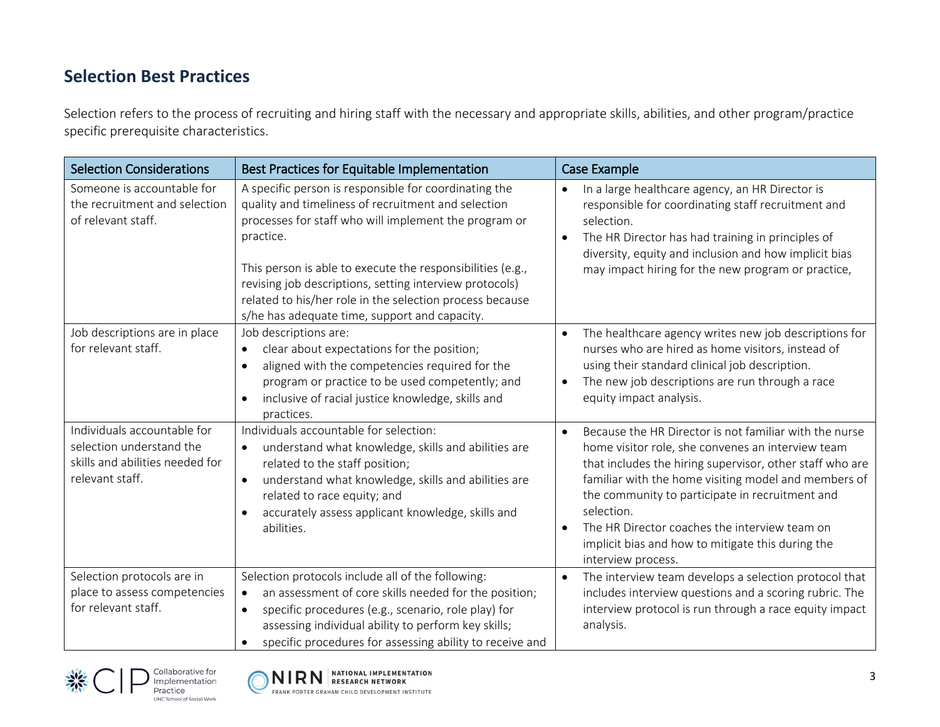### **Selection Best Practices**

Selection refers to the process of recruiting and hiring staff with the necessary and appropriate skills, abilities, and other program/practice specific prerequisite characteristics.

| <b>Selection Considerations</b>                                                                               | Best Practices for Equitable Implementation                                                                                                                                                                                                                                                                                                                                                                              | <b>Case Example</b>                                                                                                                                                                                                                                                                                                                                                                                                          |
|---------------------------------------------------------------------------------------------------------------|--------------------------------------------------------------------------------------------------------------------------------------------------------------------------------------------------------------------------------------------------------------------------------------------------------------------------------------------------------------------------------------------------------------------------|------------------------------------------------------------------------------------------------------------------------------------------------------------------------------------------------------------------------------------------------------------------------------------------------------------------------------------------------------------------------------------------------------------------------------|
| Someone is accountable for<br>the recruitment and selection<br>of relevant staff.                             | A specific person is responsible for coordinating the<br>quality and timeliness of recruitment and selection<br>processes for staff who will implement the program or<br>practice.<br>This person is able to execute the responsibilities (e.g.,<br>revising job descriptions, setting interview protocols)<br>related to his/her role in the selection process because<br>s/he has adequate time, support and capacity. | In a large healthcare agency, an HR Director is<br>responsible for coordinating staff recruitment and<br>selection.<br>The HR Director has had training in principles of<br>diversity, equity and inclusion and how implicit bias<br>may impact hiring for the new program or practice,                                                                                                                                      |
| Job descriptions are in place<br>for relevant staff.                                                          | Job descriptions are:<br>clear about expectations for the position;<br>$\bullet$<br>aligned with the competencies required for the<br>$\bullet$<br>program or practice to be used competently; and<br>inclusive of racial justice knowledge, skills and<br>$\bullet$<br>practices.                                                                                                                                       | The healthcare agency writes new job descriptions for<br>nurses who are hired as home visitors, instead of<br>using their standard clinical job description.<br>The new job descriptions are run through a race<br>$\bullet$<br>equity impact analysis.                                                                                                                                                                      |
| Individuals accountable for<br>selection understand the<br>skills and abilities needed for<br>relevant staff. | Individuals accountable for selection:<br>understand what knowledge, skills and abilities are<br>$\bullet$<br>related to the staff position;<br>understand what knowledge, skills and abilities are<br>$\bullet$<br>related to race equity; and<br>accurately assess applicant knowledge, skills and<br>abilities.                                                                                                       | Because the HR Director is not familiar with the nurse<br>home visitor role, she convenes an interview team<br>that includes the hiring supervisor, other staff who are<br>familiar with the home visiting model and members of<br>the community to participate in recruitment and<br>selection.<br>The HR Director coaches the interview team on<br>implicit bias and how to mitigate this during the<br>interview process. |
| Selection protocols are in<br>place to assess competencies<br>for relevant staff.                             | Selection protocols include all of the following:<br>an assessment of core skills needed for the position;<br>$\bullet$<br>specific procedures (e.g., scenario, role play) for<br>$\bullet$<br>assessing individual ability to perform key skills;<br>specific procedures for assessing ability to receive and                                                                                                           | The interview team develops a selection protocol that<br>includes interview questions and a scoring rubric. The<br>interview protocol is run through a race equity impact<br>analysis.                                                                                                                                                                                                                                       |



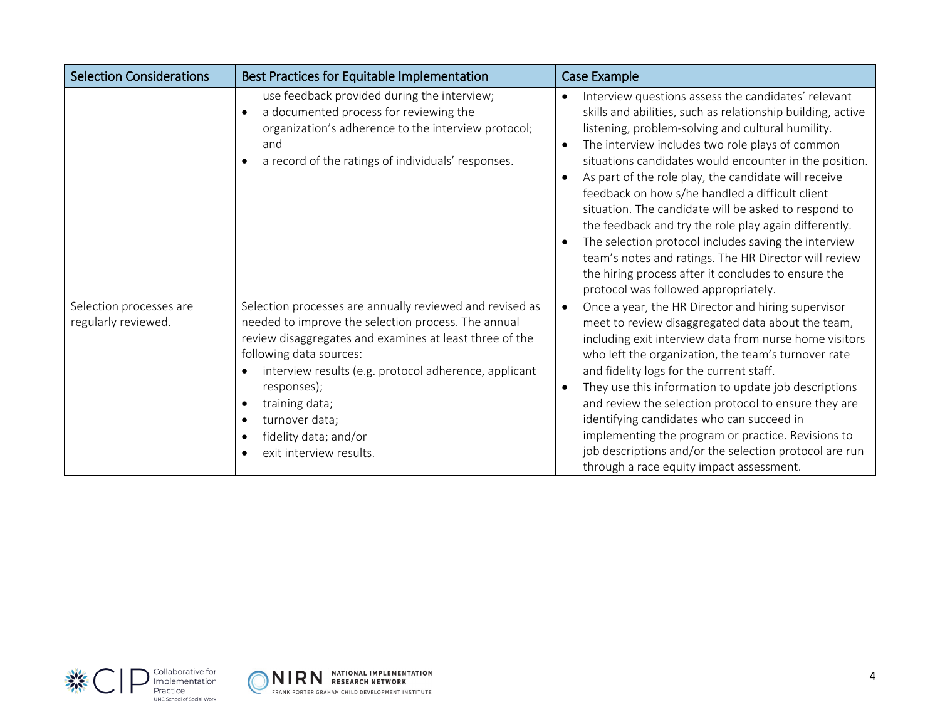| <b>Selection Considerations</b>                | Best Practices for Equitable Implementation                                                                                                                                                                                                                                                                                                                           | Case Example                                                                                                                                                                                                                                                                                                                                                                                                                                                                                                                                                                                                                                                                                                                     |
|------------------------------------------------|-----------------------------------------------------------------------------------------------------------------------------------------------------------------------------------------------------------------------------------------------------------------------------------------------------------------------------------------------------------------------|----------------------------------------------------------------------------------------------------------------------------------------------------------------------------------------------------------------------------------------------------------------------------------------------------------------------------------------------------------------------------------------------------------------------------------------------------------------------------------------------------------------------------------------------------------------------------------------------------------------------------------------------------------------------------------------------------------------------------------|
|                                                | use feedback provided during the interview;<br>a documented process for reviewing the<br>$\bullet$<br>organization's adherence to the interview protocol;<br>and<br>a record of the ratings of individuals' responses.                                                                                                                                                | Interview questions assess the candidates' relevant<br>skills and abilities, such as relationship building, active<br>listening, problem-solving and cultural humility.<br>The interview includes two role plays of common<br>situations candidates would encounter in the position.<br>As part of the role play, the candidate will receive<br>feedback on how s/he handled a difficult client<br>situation. The candidate will be asked to respond to<br>the feedback and try the role play again differently.<br>The selection protocol includes saving the interview<br>team's notes and ratings. The HR Director will review<br>the hiring process after it concludes to ensure the<br>protocol was followed appropriately. |
| Selection processes are<br>regularly reviewed. | Selection processes are annually reviewed and revised as<br>needed to improve the selection process. The annual<br>review disaggregates and examines at least three of the<br>following data sources:<br>interview results (e.g. protocol adherence, applicant<br>responses);<br>training data;<br>turnover data;<br>fidelity data; and/or<br>exit interview results. | Once a year, the HR Director and hiring supervisor<br>$\bullet$<br>meet to review disaggregated data about the team,<br>including exit interview data from nurse home visitors<br>who left the organization, the team's turnover rate<br>and fidelity logs for the current staff.<br>They use this information to update job descriptions<br>and review the selection protocol to ensure they are<br>identifying candidates who can succeed in<br>implementing the program or practice. Revisions to<br>job descriptions and/or the selection protocol are run<br>through a race equity impact assessment.                                                                                                                       |



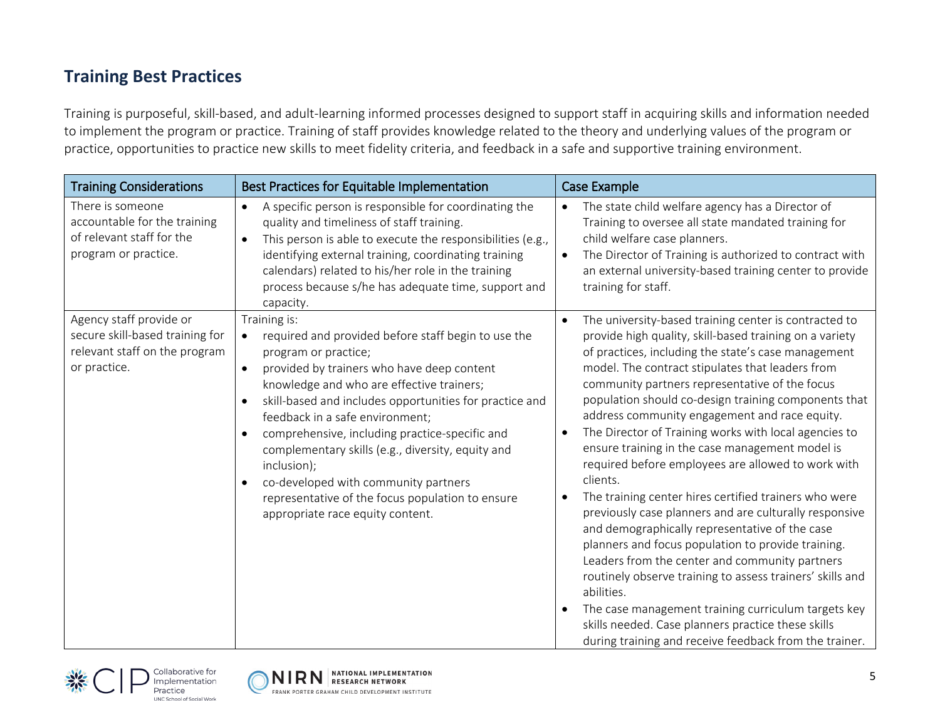#### **Training Best Practices**

Training is purposeful, skill-based, and adult-learning informed processes designed to support staff in acquiring skills and information needed to implement the program or practice. Training of staff provides knowledge related to the theory and underlying values of the program or practice, opportunities to practice new skills to meet fidelity criteria, and feedback in a safe and supportive training environment.

| <b>Training Considerations</b>                                                                              | Best Practices for Equitable Implementation                                                                                                                                                                                                                                                                                                                                                                                                                                                                                                                                                                 | <b>Case Example</b>                                                                                                                                                                                                                                                                                                                                                                                                                                                                                                                                                                                                                                                                                                                                                                                                                                                                                                                                                                                                                                                                                 |
|-------------------------------------------------------------------------------------------------------------|-------------------------------------------------------------------------------------------------------------------------------------------------------------------------------------------------------------------------------------------------------------------------------------------------------------------------------------------------------------------------------------------------------------------------------------------------------------------------------------------------------------------------------------------------------------------------------------------------------------|-----------------------------------------------------------------------------------------------------------------------------------------------------------------------------------------------------------------------------------------------------------------------------------------------------------------------------------------------------------------------------------------------------------------------------------------------------------------------------------------------------------------------------------------------------------------------------------------------------------------------------------------------------------------------------------------------------------------------------------------------------------------------------------------------------------------------------------------------------------------------------------------------------------------------------------------------------------------------------------------------------------------------------------------------------------------------------------------------------|
| There is someone<br>accountable for the training<br>of relevant staff for the<br>program or practice.       | A specific person is responsible for coordinating the<br>$\bullet$<br>quality and timeliness of staff training.<br>This person is able to execute the responsibilities (e.g.,<br>$\bullet$<br>identifying external training, coordinating training<br>calendars) related to his/her role in the training<br>process because s/he has adequate time, support and<br>capacity.                                                                                                                                                                                                                                | The state child welfare agency has a Director of<br>$\bullet$<br>Training to oversee all state mandated training for<br>child welfare case planners.<br>The Director of Training is authorized to contract with<br>$\bullet$<br>an external university-based training center to provide<br>training for staff.                                                                                                                                                                                                                                                                                                                                                                                                                                                                                                                                                                                                                                                                                                                                                                                      |
| Agency staff provide or<br>secure skill-based training for<br>relevant staff on the program<br>or practice. | Training is:<br>required and provided before staff begin to use the<br>$\bullet$<br>program or practice;<br>provided by trainers who have deep content<br>$\bullet$<br>knowledge and who are effective trainers;<br>skill-based and includes opportunities for practice and<br>$\bullet$<br>feedback in a safe environment;<br>comprehensive, including practice-specific and<br>$\bullet$<br>complementary skills (e.g., diversity, equity and<br>inclusion);<br>co-developed with community partners<br>$\bullet$<br>representative of the focus population to ensure<br>appropriate race equity content. | The university-based training center is contracted to<br>provide high quality, skill-based training on a variety<br>of practices, including the state's case management<br>model. The contract stipulates that leaders from<br>community partners representative of the focus<br>population should co-design training components that<br>address community engagement and race equity.<br>The Director of Training works with local agencies to<br>ensure training in the case management model is<br>required before employees are allowed to work with<br>clients.<br>The training center hires certified trainers who were<br>previously case planners and are culturally responsive<br>and demographically representative of the case<br>planners and focus population to provide training.<br>Leaders from the center and community partners<br>routinely observe training to assess trainers' skills and<br>abilities.<br>The case management training curriculum targets key<br>skills needed. Case planners practice these skills<br>during training and receive feedback from the trainer. |



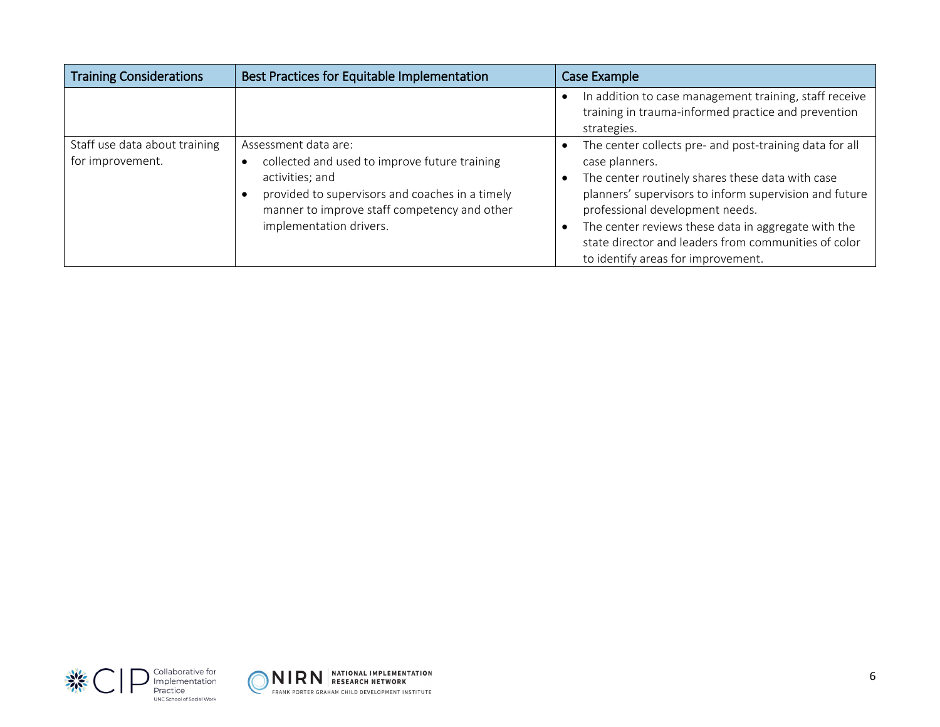| <b>Training Considerations</b>                    | Best Practices for Equitable Implementation                                                                                                                                                                            | Case Example                                                                                                                                                                                                                                                                                                                                                                    |
|---------------------------------------------------|------------------------------------------------------------------------------------------------------------------------------------------------------------------------------------------------------------------------|---------------------------------------------------------------------------------------------------------------------------------------------------------------------------------------------------------------------------------------------------------------------------------------------------------------------------------------------------------------------------------|
|                                                   |                                                                                                                                                                                                                        | In addition to case management training, staff receive<br>training in trauma-informed practice and prevention<br>strategies.                                                                                                                                                                                                                                                    |
| Staff use data about training<br>for improvement. | Assessment data are:<br>collected and used to improve future training<br>activities; and<br>provided to supervisors and coaches in a timely<br>manner to improve staff competency and other<br>implementation drivers. | The center collects pre- and post-training data for all<br>case planners.<br>The center routinely shares these data with case<br>planners' supervisors to inform supervision and future<br>professional development needs.<br>The center reviews these data in aggregate with the<br>state director and leaders from communities of color<br>to identify areas for improvement. |



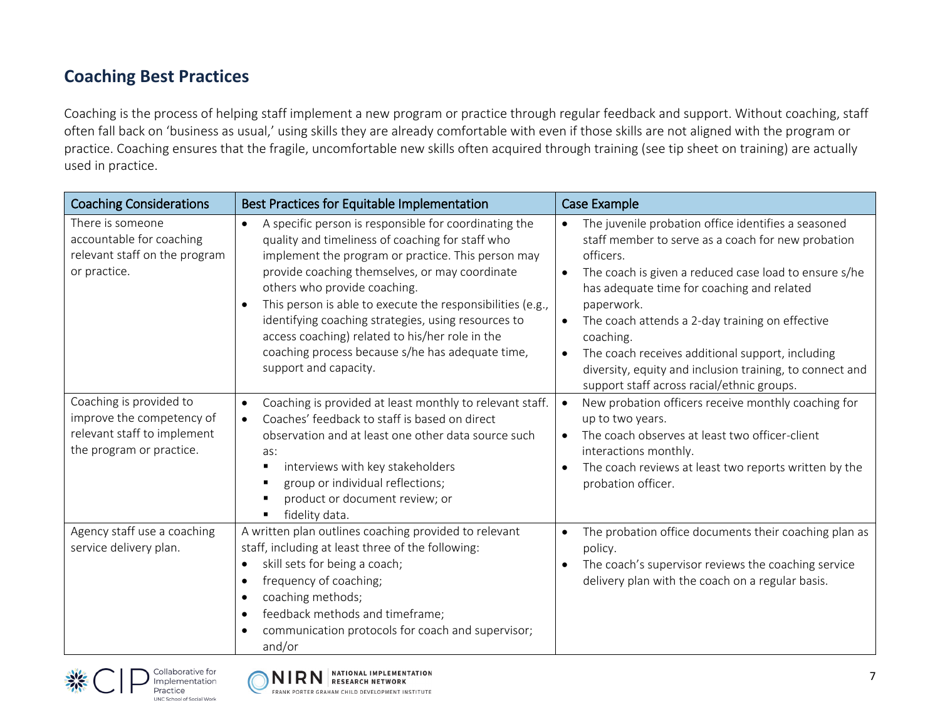### **Coaching Best Practices**

Coaching is the process of helping staff implement a new program or practice through regular feedback and support. Without coaching, staff often fall back on 'business as usual,' using skills they are already comfortable with even if those skills are not aligned with the program or practice. Coaching ensures that the fragile, uncomfortable new skills often acquired through training (see tip sheet on training) are actually used in practice.

| <b>Coaching Considerations</b>                                                                                  | Best Practices for Equitable Implementation                                                                                                                                                                                                                                                                                                                                                                                                                                                                         | Case Example                                                                                                                                                                                                                                                                                                                                                                                                                                                                                        |
|-----------------------------------------------------------------------------------------------------------------|---------------------------------------------------------------------------------------------------------------------------------------------------------------------------------------------------------------------------------------------------------------------------------------------------------------------------------------------------------------------------------------------------------------------------------------------------------------------------------------------------------------------|-----------------------------------------------------------------------------------------------------------------------------------------------------------------------------------------------------------------------------------------------------------------------------------------------------------------------------------------------------------------------------------------------------------------------------------------------------------------------------------------------------|
| There is someone<br>accountable for coaching<br>relevant staff on the program<br>or practice.                   | A specific person is responsible for coordinating the<br>$\bullet$<br>quality and timeliness of coaching for staff who<br>implement the program or practice. This person may<br>provide coaching themselves, or may coordinate<br>others who provide coaching.<br>This person is able to execute the responsibilities (e.g.,<br>identifying coaching strategies, using resources to<br>access coaching) related to his/her role in the<br>coaching process because s/he has adequate time,<br>support and capacity. | The juvenile probation office identifies a seasoned<br>staff member to serve as a coach for new probation<br>officers.<br>The coach is given a reduced case load to ensure s/he<br>$\bullet$<br>has adequate time for coaching and related<br>paperwork.<br>The coach attends a 2-day training on effective<br>$\bullet$<br>coaching.<br>The coach receives additional support, including<br>diversity, equity and inclusion training, to connect and<br>support staff across racial/ethnic groups. |
| Coaching is provided to<br>improve the competency of<br>relevant staff to implement<br>the program or practice. | Coaching is provided at least monthly to relevant staff.<br>$\bullet$<br>Coaches' feedback to staff is based on direct<br>observation and at least one other data source such<br>as:<br>interviews with key stakeholders<br>п<br>group or individual reflections;<br>в<br>product or document review; or<br>в<br>fidelity data.<br>в                                                                                                                                                                                | New probation officers receive monthly coaching for<br>$\bullet$<br>up to two years.<br>The coach observes at least two officer-client<br>$\bullet$<br>interactions monthly.<br>The coach reviews at least two reports written by the<br>probation officer.                                                                                                                                                                                                                                         |
| Agency staff use a coaching<br>service delivery plan.                                                           | A written plan outlines coaching provided to relevant<br>staff, including at least three of the following:<br>skill sets for being a coach;<br>frequency of coaching;<br>$\epsilon$<br>coaching methods;<br>feedback methods and timeframe;<br>$\bullet$<br>communication protocols for coach and supervisor;<br>and/or                                                                                                                                                                                             | The probation office documents their coaching plan as<br>$\bullet$<br>policy.<br>The coach's supervisor reviews the coaching service<br>$\bullet$<br>delivery plan with the coach on a regular basis.                                                                                                                                                                                                                                                                                               |



Practice

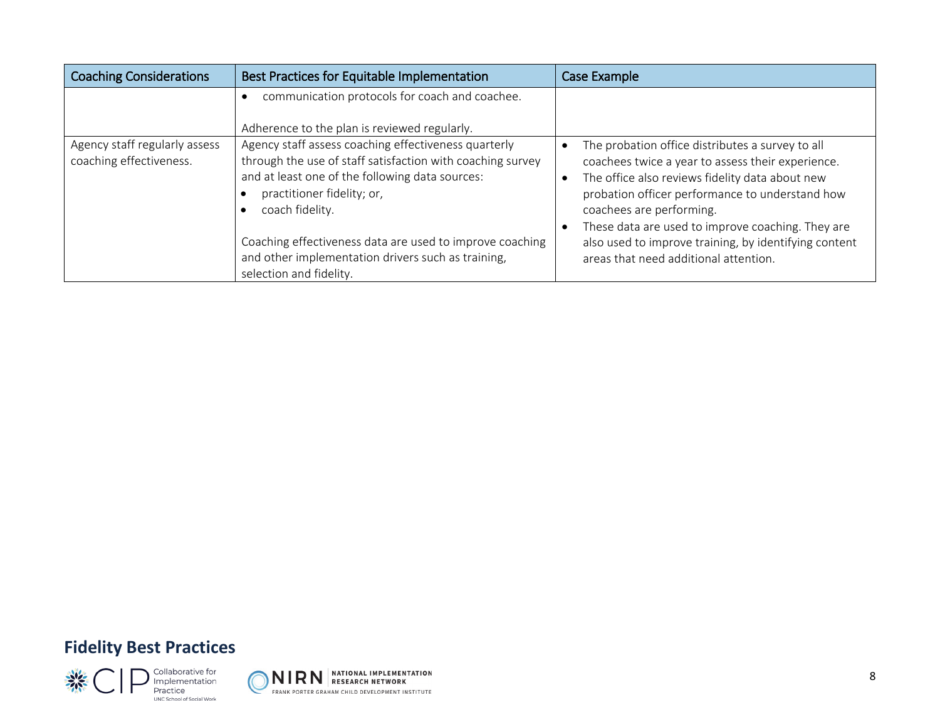| <b>Coaching Considerations</b>                           | Best Practices for Equitable Implementation                                                                                                                                                                                                                                                                                                                         | Case Example                                                                                                                                                                                                                                                                                                                                                                                   |
|----------------------------------------------------------|---------------------------------------------------------------------------------------------------------------------------------------------------------------------------------------------------------------------------------------------------------------------------------------------------------------------------------------------------------------------|------------------------------------------------------------------------------------------------------------------------------------------------------------------------------------------------------------------------------------------------------------------------------------------------------------------------------------------------------------------------------------------------|
|                                                          | communication protocols for coach and coachee.<br>Adherence to the plan is reviewed regularly.                                                                                                                                                                                                                                                                      |                                                                                                                                                                                                                                                                                                                                                                                                |
| Agency staff regularly assess<br>coaching effectiveness. | Agency staff assess coaching effectiveness quarterly<br>through the use of staff satisfaction with coaching survey<br>and at least one of the following data sources:<br>practitioner fidelity; or,<br>coach fidelity.<br>Coaching effectiveness data are used to improve coaching<br>and other implementation drivers such as training,<br>selection and fidelity. | The probation office distributes a survey to all<br>coachees twice a year to assess their experience.<br>The office also reviews fidelity data about new<br>probation officer performance to understand how<br>coachees are performing.<br>These data are used to improve coaching. They are<br>also used to improve training, by identifying content<br>areas that need additional attention. |

# **Fidelity Best Practices**



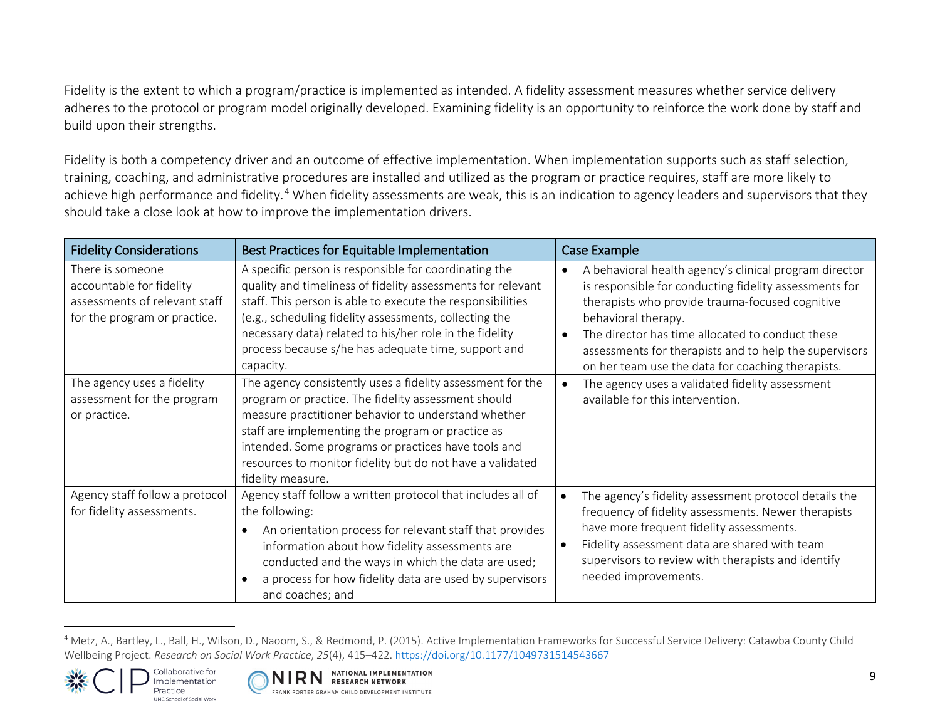<span id="page-8-0"></span>Fidelity is the extent to which a program/practice is implemented as intended. A fidelity assessment measures whether service delivery adheres to the protocol or program model originally developed. Examining fidelity is an opportunity to reinforce the work done by staff and build upon their strengths.

Fidelity is both a competency driver and an outcome of effective implementation. When implementation supports such as staff selection, training, coaching, and administrative procedures are installed and utilized as the program or practice requires, staff are more likely to achieve high performance and fidelity.<sup>[4](#page-8-0)</sup> When fidelity assessments are weak, this is an indication to agency leaders and supervisors that they should take a close look at how to improve the implementation drivers.

| <b>Fidelity Considerations</b>                                                                                | Best Practices for Equitable Implementation                                                                                                                                                                                                                                                                                                                                 | Case Example                                                                                                                                                                                                                                                                                                                                                  |
|---------------------------------------------------------------------------------------------------------------|-----------------------------------------------------------------------------------------------------------------------------------------------------------------------------------------------------------------------------------------------------------------------------------------------------------------------------------------------------------------------------|---------------------------------------------------------------------------------------------------------------------------------------------------------------------------------------------------------------------------------------------------------------------------------------------------------------------------------------------------------------|
| There is someone<br>accountable for fidelity<br>assessments of relevant staff<br>for the program or practice. | A specific person is responsible for coordinating the<br>quality and timeliness of fidelity assessments for relevant<br>staff. This person is able to execute the responsibilities<br>(e.g., scheduling fidelity assessments, collecting the<br>necessary data) related to his/her role in the fidelity<br>process because s/he has adequate time, support and<br>capacity. | A behavioral health agency's clinical program director<br>is responsible for conducting fidelity assessments for<br>therapists who provide trauma-focused cognitive<br>behavioral therapy.<br>The director has time allocated to conduct these<br>assessments for therapists and to help the supervisors<br>on her team use the data for coaching therapists. |
| The agency uses a fidelity<br>assessment for the program<br>or practice.                                      | The agency consistently uses a fidelity assessment for the<br>program or practice. The fidelity assessment should<br>measure practitioner behavior to understand whether<br>staff are implementing the program or practice as<br>intended. Some programs or practices have tools and<br>resources to monitor fidelity but do not have a validated<br>fidelity measure.      | The agency uses a validated fidelity assessment<br>available for this intervention.                                                                                                                                                                                                                                                                           |
| Agency staff follow a protocol<br>for fidelity assessments.                                                   | Agency staff follow a written protocol that includes all of<br>the following:<br>An orientation process for relevant staff that provides<br>information about how fidelity assessments are<br>conducted and the ways in which the data are used;<br>a process for how fidelity data are used by supervisors<br>and coaches; and                                             | The agency's fidelity assessment protocol details the<br>frequency of fidelity assessments. Newer therapists<br>have more frequent fidelity assessments.<br>Fidelity assessment data are shared with team<br>supervisors to review with therapists and identify<br>needed improvements.                                                                       |

<sup>4</sup> Metz, A., Bartley, L., Ball, H., Wilson, D., Naoom, S., & Redmond, P. (2015). Active Implementation Frameworks for Successful Service Delivery: Catawba County Child Wellbeing Project. *Research on Social Work Practice*, *25*(4), 415–422. <https://doi.org/10.1177/1049731514543667>



 $\overline{a}$ 

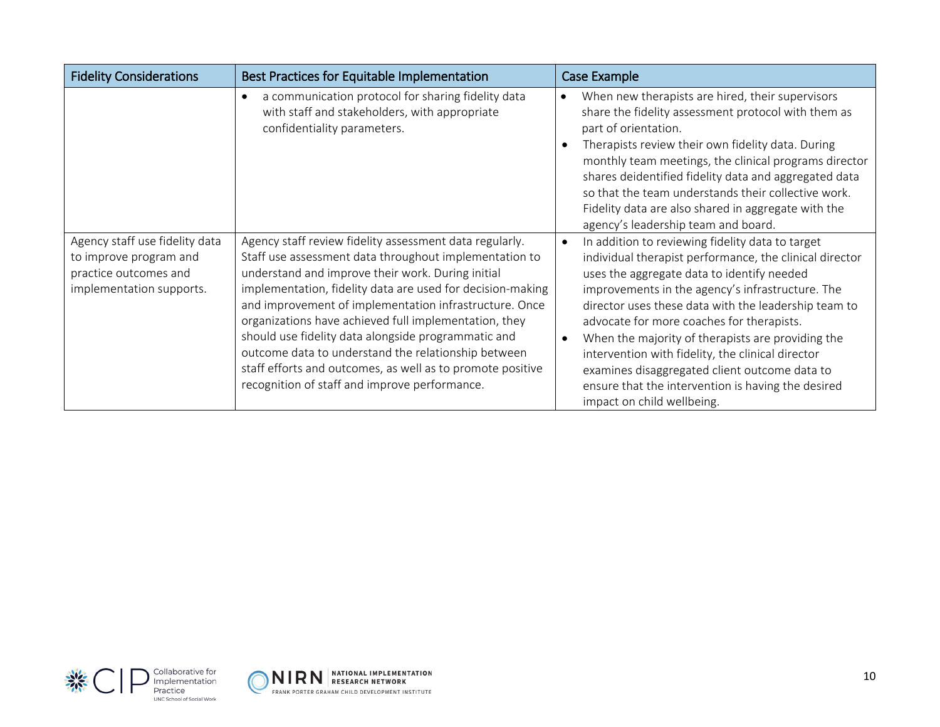| <b>Fidelity Considerations</b>                                                                                | Best Practices for Equitable Implementation                                                                                                                                                                                                                                                                                                                                                                                                                                                                                                                                          | Case Example                                                                                                                                                                                                                                                                                                                                                                                                                                                                                                                                                                   |
|---------------------------------------------------------------------------------------------------------------|--------------------------------------------------------------------------------------------------------------------------------------------------------------------------------------------------------------------------------------------------------------------------------------------------------------------------------------------------------------------------------------------------------------------------------------------------------------------------------------------------------------------------------------------------------------------------------------|--------------------------------------------------------------------------------------------------------------------------------------------------------------------------------------------------------------------------------------------------------------------------------------------------------------------------------------------------------------------------------------------------------------------------------------------------------------------------------------------------------------------------------------------------------------------------------|
|                                                                                                               | a communication protocol for sharing fidelity data<br>with staff and stakeholders, with appropriate<br>confidentiality parameters.                                                                                                                                                                                                                                                                                                                                                                                                                                                   | When new therapists are hired, their supervisors<br>$\bullet$<br>share the fidelity assessment protocol with them as<br>part of orientation.<br>Therapists review their own fidelity data. During<br>monthly team meetings, the clinical programs director<br>shares deidentified fidelity data and aggregated data<br>so that the team understands their collective work.<br>Fidelity data are also shared in aggregate with the<br>agency's leadership team and board.                                                                                                       |
| Agency staff use fidelity data<br>to improve program and<br>practice outcomes and<br>implementation supports. | Agency staff review fidelity assessment data regularly.<br>Staff use assessment data throughout implementation to<br>understand and improve their work. During initial<br>implementation, fidelity data are used for decision-making<br>and improvement of implementation infrastructure. Once<br>organizations have achieved full implementation, they<br>should use fidelity data alongside programmatic and<br>outcome data to understand the relationship between<br>staff efforts and outcomes, as well as to promote positive<br>recognition of staff and improve performance. | In addition to reviewing fidelity data to target<br>$\bullet$<br>individual therapist performance, the clinical director<br>uses the aggregate data to identify needed<br>improvements in the agency's infrastructure. The<br>director uses these data with the leadership team to<br>advocate for more coaches for therapists.<br>When the majority of therapists are providing the<br>intervention with fidelity, the clinical director<br>examines disaggregated client outcome data to<br>ensure that the intervention is having the desired<br>impact on child wellbeing. |



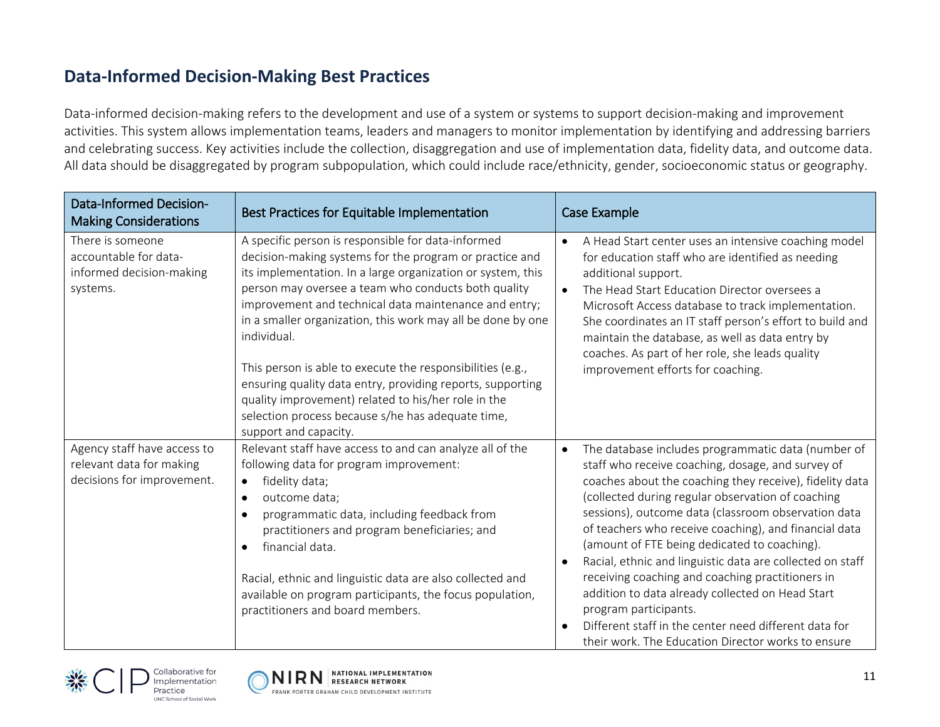#### **Data-Informed Decision-Making Best Practices**

Data-informed decision-making refers to the development and use of a system or systems to support decision-making and improvement activities. This system allows implementation teams, leaders and managers to monitor implementation by identifying and addressing barriers and celebrating success. Key activities include the collection, disaggregation and use of implementation data, fidelity data, and outcome data. All data should be disaggregated by program subpopulation, which could include race/ethnicity, gender, socioeconomic status or geography.

| <b>Data-Informed Decision-</b><br><b>Making Considerations</b>                        | Best Practices for Equitable Implementation                                                                                                                                                                                                                                                                                                                                                                                                                                                                                                                                                                                                 | Case Example                                                                                                                                                                                                                                                                                                                                                                                                                                                                                                                                                                                                                                                                                                      |
|---------------------------------------------------------------------------------------|---------------------------------------------------------------------------------------------------------------------------------------------------------------------------------------------------------------------------------------------------------------------------------------------------------------------------------------------------------------------------------------------------------------------------------------------------------------------------------------------------------------------------------------------------------------------------------------------------------------------------------------------|-------------------------------------------------------------------------------------------------------------------------------------------------------------------------------------------------------------------------------------------------------------------------------------------------------------------------------------------------------------------------------------------------------------------------------------------------------------------------------------------------------------------------------------------------------------------------------------------------------------------------------------------------------------------------------------------------------------------|
| There is someone<br>accountable for data-<br>informed decision-making<br>systems.     | A specific person is responsible for data-informed<br>decision-making systems for the program or practice and<br>its implementation. In a large organization or system, this<br>person may oversee a team who conducts both quality<br>improvement and technical data maintenance and entry;<br>in a smaller organization, this work may all be done by one<br>individual.<br>This person is able to execute the responsibilities (e.g.,<br>ensuring quality data entry, providing reports, supporting<br>quality improvement) related to his/her role in the<br>selection process because s/he has adequate time,<br>support and capacity. | A Head Start center uses an intensive coaching model<br>for education staff who are identified as needing<br>additional support.<br>The Head Start Education Director oversees a<br>Microsoft Access database to track implementation.<br>She coordinates an IT staff person's effort to build and<br>maintain the database, as well as data entry by<br>coaches. As part of her role, she leads quality<br>improvement efforts for coaching.                                                                                                                                                                                                                                                                     |
| Agency staff have access to<br>relevant data for making<br>decisions for improvement. | Relevant staff have access to and can analyze all of the<br>following data for program improvement:<br>fidelity data;<br>$\bullet$<br>outcome data;<br>$\bullet$<br>programmatic data, including feedback from<br>$\bullet$<br>practitioners and program beneficiaries; and<br>financial data.<br>Racial, ethnic and linguistic data are also collected and<br>available on program participants, the focus population,<br>practitioners and board members.                                                                                                                                                                                 | The database includes programmatic data (number of<br>$\bullet$<br>staff who receive coaching, dosage, and survey of<br>coaches about the coaching they receive), fidelity data<br>(collected during regular observation of coaching<br>sessions), outcome data (classroom observation data<br>of teachers who receive coaching), and financial data<br>(amount of FTE being dedicated to coaching).<br>Racial, ethnic and linguistic data are collected on staff<br>receiving coaching and coaching practitioners in<br>addition to data already collected on Head Start<br>program participants.<br>Different staff in the center need different data for<br>their work. The Education Director works to ensure |



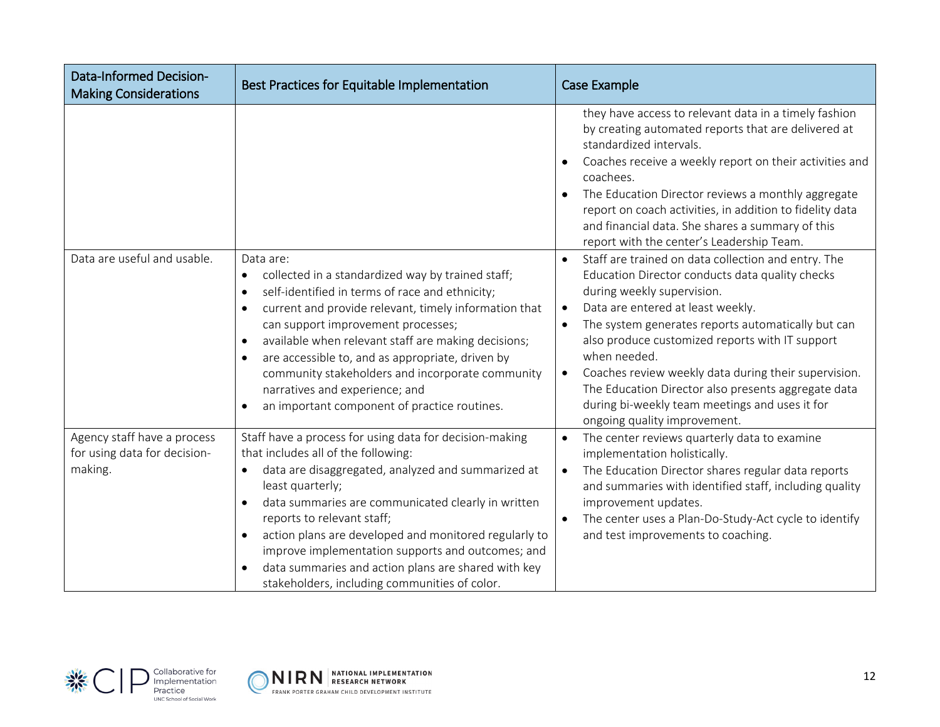| <b>Data-Informed Decision-</b><br><b>Making Considerations</b>         | Best Practices for Equitable Implementation                                                                                                                                                                                                                                                                                                                                                                                                                                                                                                     | Case Example                                                                                                                                                                                                                                                                                                                                                                                                                                                                                                                                            |
|------------------------------------------------------------------------|-------------------------------------------------------------------------------------------------------------------------------------------------------------------------------------------------------------------------------------------------------------------------------------------------------------------------------------------------------------------------------------------------------------------------------------------------------------------------------------------------------------------------------------------------|---------------------------------------------------------------------------------------------------------------------------------------------------------------------------------------------------------------------------------------------------------------------------------------------------------------------------------------------------------------------------------------------------------------------------------------------------------------------------------------------------------------------------------------------------------|
|                                                                        |                                                                                                                                                                                                                                                                                                                                                                                                                                                                                                                                                 | they have access to relevant data in a timely fashion<br>by creating automated reports that are delivered at<br>standardized intervals.<br>Coaches receive a weekly report on their activities and<br>coachees.<br>The Education Director reviews a monthly aggregate<br>report on coach activities, in addition to fidelity data<br>and financial data. She shares a summary of this<br>report with the center's Leadership Team.                                                                                                                      |
| Data are useful and usable.                                            | Data are:<br>collected in a standardized way by trained staff;<br>$\bullet$<br>self-identified in terms of race and ethnicity;<br>$\bullet$<br>current and provide relevant, timely information that<br>$\bullet$<br>can support improvement processes;<br>available when relevant staff are making decisions;<br>$\bullet$<br>are accessible to, and as appropriate, driven by<br>$\bullet$<br>community stakeholders and incorporate community<br>narratives and experience; and<br>an important component of practice routines.<br>$\bullet$ | Staff are trained on data collection and entry. The<br>$\bullet$<br>Education Director conducts data quality checks<br>during weekly supervision.<br>Data are entered at least weekly.<br>$\bullet$<br>The system generates reports automatically but can<br>$\bullet$<br>also produce customized reports with IT support<br>when needed.<br>Coaches review weekly data during their supervision.<br>$\bullet$<br>The Education Director also presents aggregate data<br>during bi-weekly team meetings and uses it for<br>ongoing quality improvement. |
| Agency staff have a process<br>for using data for decision-<br>making. | Staff have a process for using data for decision-making<br>that includes all of the following:<br>data are disaggregated, analyzed and summarized at<br>$\bullet$<br>least quarterly;<br>data summaries are communicated clearly in written<br>$\bullet$<br>reports to relevant staff;<br>action plans are developed and monitored regularly to<br>improve implementation supports and outcomes; and<br>data summaries and action plans are shared with key<br>$\bullet$<br>stakeholders, including communities of color.                       | The center reviews quarterly data to examine<br>$\bullet$<br>implementation holistically.<br>The Education Director shares regular data reports<br>$\bullet$<br>and summaries with identified staff, including quality<br>improvement updates.<br>The center uses a Plan-Do-Study-Act cycle to identify<br>$\bullet$<br>and test improvements to coaching.                                                                                                                                                                                              |



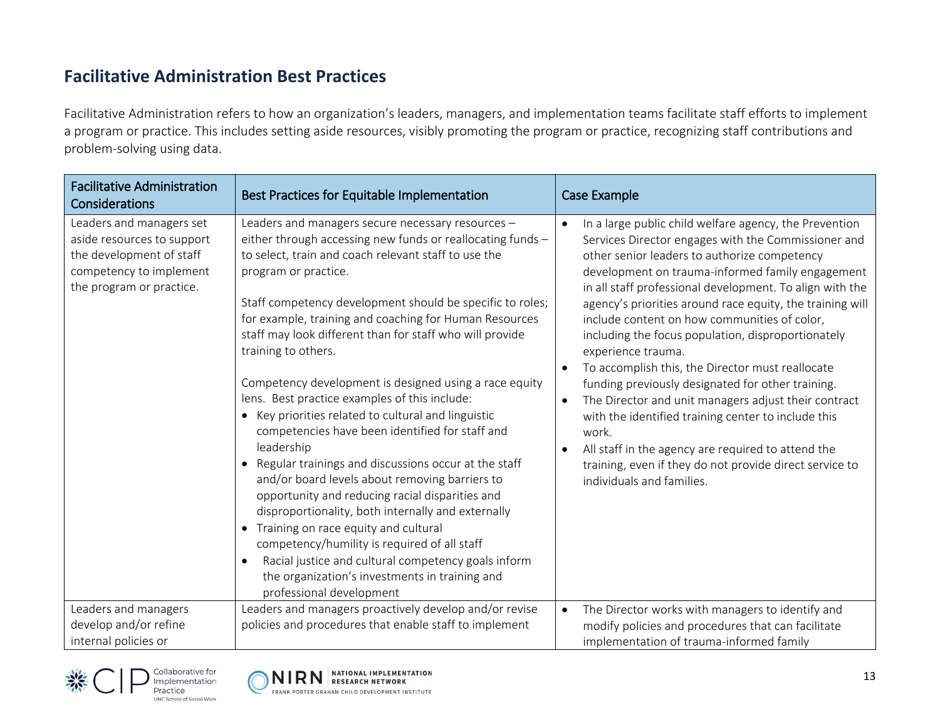# **Facilitative Administration Best Practices**

Facilitative Administration refers to how an organization's leaders, managers, and implementation teams facilitate staff efforts to implement a program or practice. This includes setting aside resources, visibly promoting the program or practice, recognizing staff contributions and problem-solving using data.

| <b>Facilitative Administration</b><br>Considerations                                                                                      | Best Practices for Equitable Implementation                                                                                                                                                                                                                                                                                                                                                                                                                                                                                                                                                                                                                                                                                                                                                                                                                                                                                                                                                                                                                                                  | Case Example                                                                                                                                                                                                                                                                                                                                                                                                                                                                                                                                                                                                                                                                                                                                                                                                                                                       |
|-------------------------------------------------------------------------------------------------------------------------------------------|----------------------------------------------------------------------------------------------------------------------------------------------------------------------------------------------------------------------------------------------------------------------------------------------------------------------------------------------------------------------------------------------------------------------------------------------------------------------------------------------------------------------------------------------------------------------------------------------------------------------------------------------------------------------------------------------------------------------------------------------------------------------------------------------------------------------------------------------------------------------------------------------------------------------------------------------------------------------------------------------------------------------------------------------------------------------------------------------|--------------------------------------------------------------------------------------------------------------------------------------------------------------------------------------------------------------------------------------------------------------------------------------------------------------------------------------------------------------------------------------------------------------------------------------------------------------------------------------------------------------------------------------------------------------------------------------------------------------------------------------------------------------------------------------------------------------------------------------------------------------------------------------------------------------------------------------------------------------------|
| Leaders and managers set<br>aside resources to support<br>the development of staff<br>competency to implement<br>the program or practice. | Leaders and managers secure necessary resources -<br>either through accessing new funds or reallocating funds -<br>to select, train and coach relevant staff to use the<br>program or practice.<br>Staff competency development should be specific to roles;<br>for example, training and coaching for Human Resources<br>staff may look different than for staff who will provide<br>training to others.<br>Competency development is designed using a race equity<br>lens. Best practice examples of this include:<br>Key priorities related to cultural and linguistic<br>competencies have been identified for staff and<br>leadership<br>Regular trainings and discussions occur at the staff<br>and/or board levels about removing barriers to<br>opportunity and reducing racial disparities and<br>disproportionality, both internally and externally<br>• Training on race equity and cultural<br>competency/humility is required of all staff<br>Racial justice and cultural competency goals inform<br>the organization's investments in training and<br>professional development | In a large public child welfare agency, the Prevention<br>Services Director engages with the Commissioner and<br>other senior leaders to authorize competency<br>development on trauma-informed family engagement<br>in all staff professional development. To align with the<br>agency's priorities around race equity, the training will<br>include content on how communities of color,<br>including the focus population, disproportionately<br>experience trauma.<br>To accomplish this, the Director must reallocate<br>funding previously designated for other training.<br>The Director and unit managers adjust their contract<br>$\bullet$<br>with the identified training center to include this<br>work.<br>All staff in the agency are required to attend the<br>training, even if they do not provide direct service to<br>individuals and families. |
| Leaders and managers<br>develop and/or refine<br>internal policies or                                                                     | Leaders and managers proactively develop and/or revise<br>policies and procedures that enable staff to implement                                                                                                                                                                                                                                                                                                                                                                                                                                                                                                                                                                                                                                                                                                                                                                                                                                                                                                                                                                             | The Director works with managers to identify and<br>$\bullet$<br>modify policies and procedures that can facilitate<br>implementation of trauma-informed family                                                                                                                                                                                                                                                                                                                                                                                                                                                                                                                                                                                                                                                                                                    |



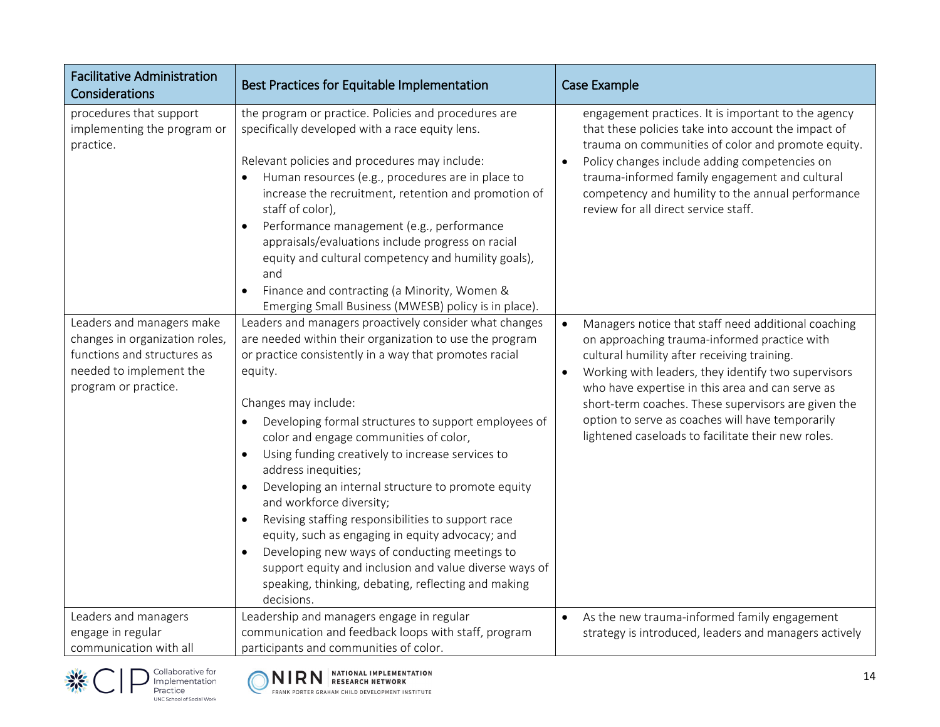| <b>Facilitative Administration</b><br>Considerations                                                                                          | Best Practices for Equitable Implementation                                                                                                                                                                                                                                                                                                                                                                                                                                                                                                                                                                                                                                                                                                                                                                                 | <b>Case Example</b>                                                                                                                                                                                                                                                                                                                                                                                                                         |
|-----------------------------------------------------------------------------------------------------------------------------------------------|-----------------------------------------------------------------------------------------------------------------------------------------------------------------------------------------------------------------------------------------------------------------------------------------------------------------------------------------------------------------------------------------------------------------------------------------------------------------------------------------------------------------------------------------------------------------------------------------------------------------------------------------------------------------------------------------------------------------------------------------------------------------------------------------------------------------------------|---------------------------------------------------------------------------------------------------------------------------------------------------------------------------------------------------------------------------------------------------------------------------------------------------------------------------------------------------------------------------------------------------------------------------------------------|
| procedures that support<br>implementing the program or<br>practice.                                                                           | the program or practice. Policies and procedures are<br>specifically developed with a race equity lens.<br>Relevant policies and procedures may include:<br>Human resources (e.g., procedures are in place to<br>increase the recruitment, retention and promotion of<br>staff of color),<br>Performance management (e.g., performance<br>$\bullet$<br>appraisals/evaluations include progress on racial<br>equity and cultural competency and humility goals),<br>and<br>Finance and contracting (a Minority, Women &<br>$\bullet$<br>Emerging Small Business (MWESB) policy is in place).                                                                                                                                                                                                                                 | engagement practices. It is important to the agency<br>that these policies take into account the impact of<br>trauma on communities of color and promote equity.<br>Policy changes include adding competencies on<br>$\bullet$<br>trauma-informed family engagement and cultural<br>competency and humility to the annual performance<br>review for all direct service staff.                                                               |
| Leaders and managers make<br>changes in organization roles,<br>functions and structures as<br>needed to implement the<br>program or practice. | Leaders and managers proactively consider what changes<br>are needed within their organization to use the program<br>or practice consistently in a way that promotes racial<br>equity.<br>Changes may include:<br>Developing formal structures to support employees of<br>color and engage communities of color,<br>Using funding creatively to increase services to<br>$\bullet$<br>address inequities;<br>Developing an internal structure to promote equity<br>$\bullet$<br>and workforce diversity;<br>Revising staffing responsibilities to support race<br>$\bullet$<br>equity, such as engaging in equity advocacy; and<br>Developing new ways of conducting meetings to<br>$\bullet$<br>support equity and inclusion and value diverse ways of<br>speaking, thinking, debating, reflecting and making<br>decisions. | Managers notice that staff need additional coaching<br>$\bullet$<br>on approaching trauma-informed practice with<br>cultural humility after receiving training.<br>Working with leaders, they identify two supervisors<br>who have expertise in this area and can serve as<br>short-term coaches. These supervisors are given the<br>option to serve as coaches will have temporarily<br>lightened caseloads to facilitate their new roles. |
| Leaders and managers<br>engage in regular<br>communication with all                                                                           | Leadership and managers engage in regular<br>communication and feedback loops with staff, program<br>participants and communities of color.                                                                                                                                                                                                                                                                                                                                                                                                                                                                                                                                                                                                                                                                                 | As the new trauma-informed family engagement<br>$\bullet$<br>strategy is introduced, leaders and managers actively                                                                                                                                                                                                                                                                                                                          |



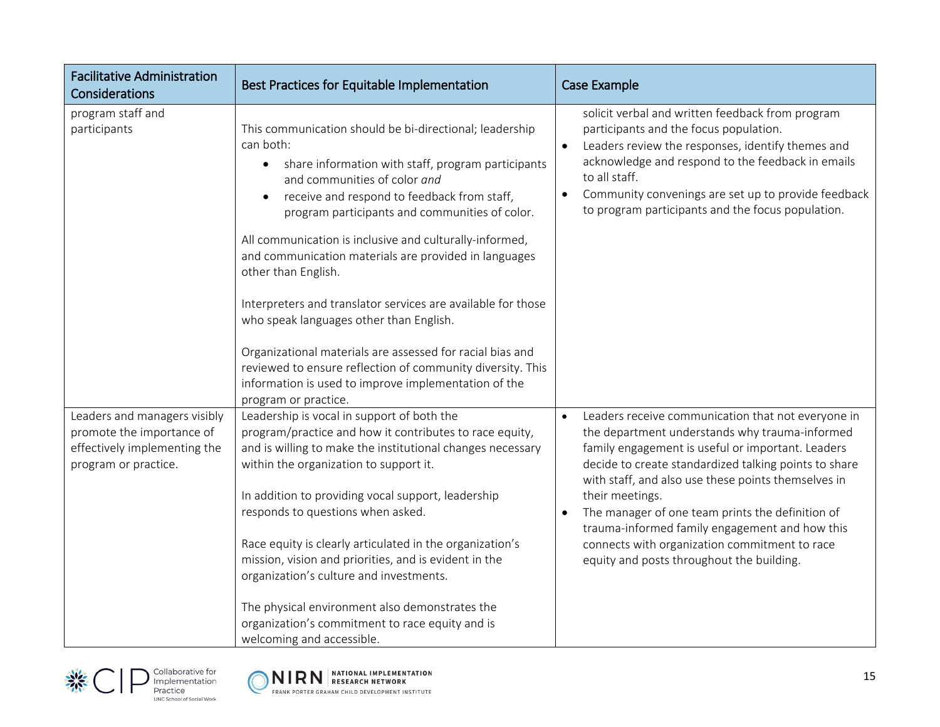| <b>Facilitative Administration</b><br>Considerations                                                              | Best Practices for Equitable Implementation                                                                                                                                                                                                                                                                                                                                                                                                                                                                                                                                                                                                                                                                       | Case Example                                                                                                                                                                                                                                                                                                                                                                                                                                                                                                  |
|-------------------------------------------------------------------------------------------------------------------|-------------------------------------------------------------------------------------------------------------------------------------------------------------------------------------------------------------------------------------------------------------------------------------------------------------------------------------------------------------------------------------------------------------------------------------------------------------------------------------------------------------------------------------------------------------------------------------------------------------------------------------------------------------------------------------------------------------------|---------------------------------------------------------------------------------------------------------------------------------------------------------------------------------------------------------------------------------------------------------------------------------------------------------------------------------------------------------------------------------------------------------------------------------------------------------------------------------------------------------------|
| program staff and<br>participants                                                                                 | This communication should be bi-directional; leadership<br>can both:<br>share information with staff, program participants<br>$\bullet$<br>and communities of color and<br>receive and respond to feedback from staff,<br>program participants and communities of color.<br>All communication is inclusive and culturally-informed,<br>and communication materials are provided in languages<br>other than English.<br>Interpreters and translator services are available for those<br>who speak languages other than English.<br>Organizational materials are assessed for racial bias and<br>reviewed to ensure reflection of community diversity. This<br>information is used to improve implementation of the | solicit verbal and written feedback from program<br>participants and the focus population.<br>Leaders review the responses, identify themes and<br>$\bullet$<br>acknowledge and respond to the feedback in emails<br>to all staff.<br>Community convenings are set up to provide feedback<br>$\bullet$<br>to program participants and the focus population.                                                                                                                                                   |
| Leaders and managers visibly<br>promote the importance of<br>effectively implementing the<br>program or practice. | program or practice.<br>Leadership is vocal in support of both the<br>program/practice and how it contributes to race equity,<br>and is willing to make the institutional changes necessary<br>within the organization to support it.<br>In addition to providing vocal support, leadership<br>responds to questions when asked.<br>Race equity is clearly articulated in the organization's<br>mission, vision and priorities, and is evident in the<br>organization's culture and investments.<br>The physical environment also demonstrates the<br>organization's commitment to race equity and is<br>welcoming and accessible.                                                                                | Leaders receive communication that not everyone in<br>the department understands why trauma-informed<br>family engagement is useful or important. Leaders<br>decide to create standardized talking points to share<br>with staff, and also use these points themselves in<br>their meetings.<br>The manager of one team prints the definition of<br>$\bullet$<br>trauma-informed family engagement and how this<br>connects with organization commitment to race<br>equity and posts throughout the building. |



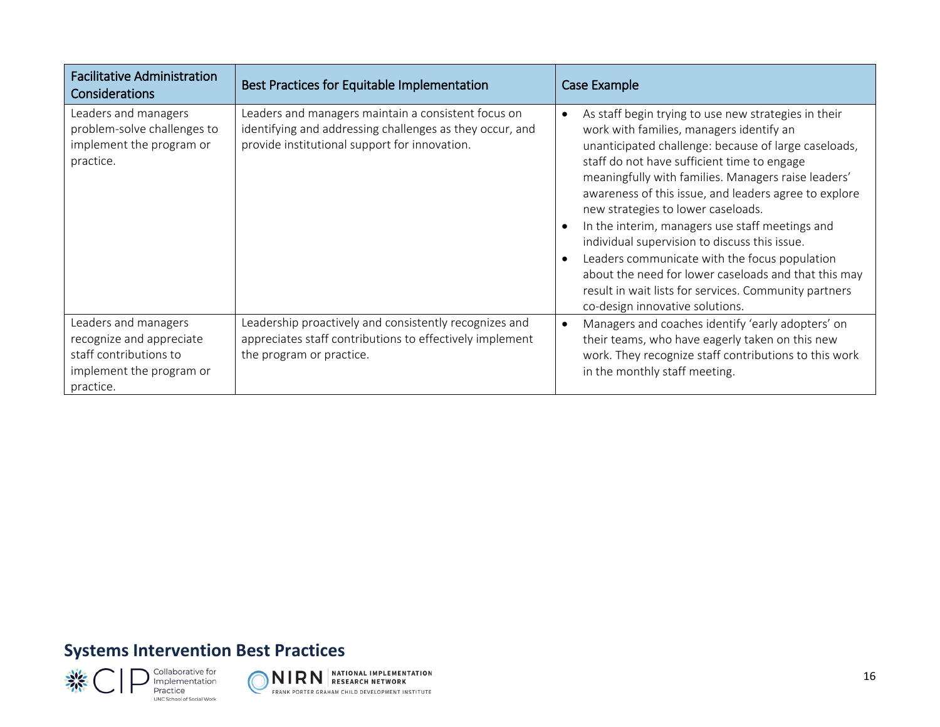| <b>Facilitative Administration</b><br>Considerations                                                                | Best Practices for Equitable Implementation                                                                                                                      | Case Example                                                                                                                                                                                                                                                                                                                                                                                                                                                                                                                                                                                                                                                           |
|---------------------------------------------------------------------------------------------------------------------|------------------------------------------------------------------------------------------------------------------------------------------------------------------|------------------------------------------------------------------------------------------------------------------------------------------------------------------------------------------------------------------------------------------------------------------------------------------------------------------------------------------------------------------------------------------------------------------------------------------------------------------------------------------------------------------------------------------------------------------------------------------------------------------------------------------------------------------------|
| Leaders and managers<br>problem-solve challenges to<br>implement the program or<br>practice.                        | Leaders and managers maintain a consistent focus on<br>identifying and addressing challenges as they occur, and<br>provide institutional support for innovation. | As staff begin trying to use new strategies in their<br>work with families, managers identify an<br>unanticipated challenge: because of large caseloads,<br>staff do not have sufficient time to engage<br>meaningfully with families. Managers raise leaders'<br>awareness of this issue, and leaders agree to explore<br>new strategies to lower caseloads.<br>In the interim, managers use staff meetings and<br>individual supervision to discuss this issue.<br>Leaders communicate with the focus population<br>about the need for lower caseloads and that this may<br>result in wait lists for services. Community partners<br>co-design innovative solutions. |
| Leaders and managers<br>recognize and appreciate<br>staff contributions to<br>implement the program or<br>practice. | Leadership proactively and consistently recognizes and<br>appreciates staff contributions to effectively implement<br>the program or practice.                   | Managers and coaches identify 'early adopters' on<br>$\bullet$<br>their teams, who have eagerly taken on this new<br>work. They recognize staff contributions to this work<br>in the monthly staff meeting.                                                                                                                                                                                                                                                                                                                                                                                                                                                            |

## **Systems Intervention Best Practices**



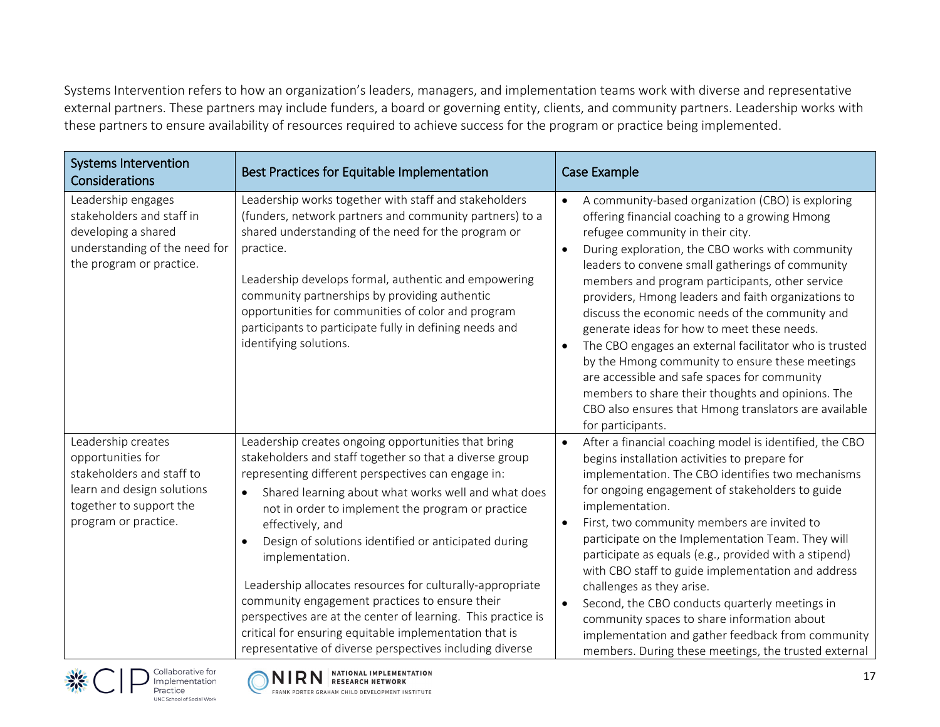Systems Intervention refers to how an organization's leaders, managers, and implementation teams work with diverse and representative external partners. These partners may include funders, a board or governing entity, clients, and community partners. Leadership works with these partners to ensure availability of resources required to achieve success for the program or practice being implemented.

| <b>Systems Intervention</b><br>Considerations                                                                                                         | Best Practices for Equitable Implementation                                                                                                                                                                                                                                                                                                                                                                                                                                                                                                                                                                                                                                          | Case Example                                                                                                                                                                                                                                                                                                                                                                                                                                                                                                                                                                                                                                                                                                                                                                          |
|-------------------------------------------------------------------------------------------------------------------------------------------------------|--------------------------------------------------------------------------------------------------------------------------------------------------------------------------------------------------------------------------------------------------------------------------------------------------------------------------------------------------------------------------------------------------------------------------------------------------------------------------------------------------------------------------------------------------------------------------------------------------------------------------------------------------------------------------------------|---------------------------------------------------------------------------------------------------------------------------------------------------------------------------------------------------------------------------------------------------------------------------------------------------------------------------------------------------------------------------------------------------------------------------------------------------------------------------------------------------------------------------------------------------------------------------------------------------------------------------------------------------------------------------------------------------------------------------------------------------------------------------------------|
| Leadership engages<br>stakeholders and staff in<br>developing a shared<br>understanding of the need for<br>the program or practice.                   | Leadership works together with staff and stakeholders<br>(funders, network partners and community partners) to a<br>shared understanding of the need for the program or<br>practice.<br>Leadership develops formal, authentic and empowering<br>community partnerships by providing authentic<br>opportunities for communities of color and program<br>participants to participate fully in defining needs and<br>identifying solutions.                                                                                                                                                                                                                                             | A community-based organization (CBO) is exploring<br>$\bullet$<br>offering financial coaching to a growing Hmong<br>refugee community in their city.<br>During exploration, the CBO works with community<br>$\bullet$<br>leaders to convene small gatherings of community<br>members and program participants, other service<br>providers, Hmong leaders and faith organizations to<br>discuss the economic needs of the community and<br>generate ideas for how to meet these needs.<br>The CBO engages an external facilitator who is trusted<br>by the Hmong community to ensure these meetings<br>are accessible and safe spaces for community<br>members to share their thoughts and opinions. The<br>CBO also ensures that Hmong translators are available<br>for participants. |
| Leadership creates<br>opportunities for<br>stakeholders and staff to<br>learn and design solutions<br>together to support the<br>program or practice. | Leadership creates ongoing opportunities that bring<br>stakeholders and staff together so that a diverse group<br>representing different perspectives can engage in:<br>Shared learning about what works well and what does<br>not in order to implement the program or practice<br>effectively, and<br>Design of solutions identified or anticipated during<br>implementation.<br>Leadership allocates resources for culturally-appropriate<br>community engagement practices to ensure their<br>perspectives are at the center of learning. This practice is<br>critical for ensuring equitable implementation that is<br>representative of diverse perspectives including diverse | After a financial coaching model is identified, the CBO<br>$\bullet$<br>begins installation activities to prepare for<br>implementation. The CBO identifies two mechanisms<br>for ongoing engagement of stakeholders to guide<br>implementation.<br>First, two community members are invited to<br>$\bullet$<br>participate on the Implementation Team. They will<br>participate as equals (e.g., provided with a stipend)<br>with CBO staff to guide implementation and address<br>challenges as they arise.<br>Second, the CBO conducts quarterly meetings in<br>$\bullet$<br>community spaces to share information about<br>implementation and gather feedback from community<br>members. During these meetings, the trusted external                                              |





Implementation Practice

UNC School of Social Work